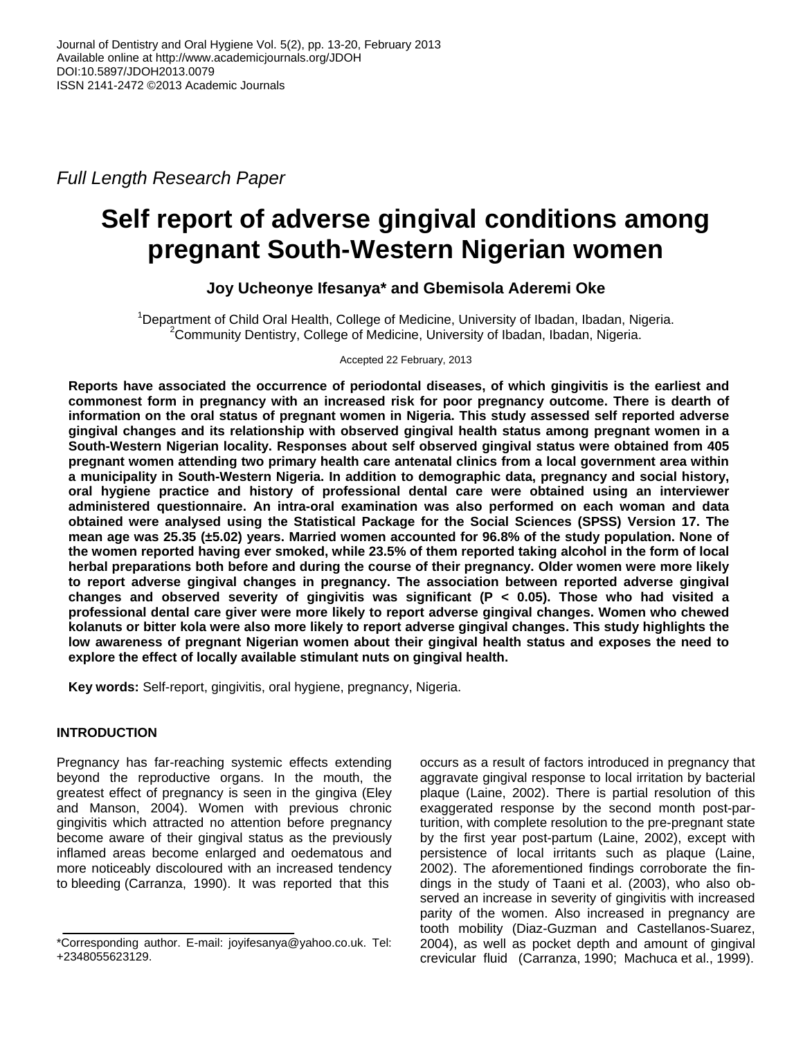*Full Length Research Paper*

# **Self report of adverse gingival conditions among pregnant South-Western Nigerian women**

# **Joy Ucheonye Ifesanya\* and Gbemisola Aderemi Oke**

<sup>1</sup>Department of Child Oral Health, College of Medicine, University of Ibadan, Ibadan, Nigeria. <sup>2</sup>Community Dentistry, College of Medicine, University of Ibadan, Ibadan, Nigeria.

Accepted 22 February, 2013

**Reports have associated the occurrence of periodontal diseases, of which gingivitis is the earliest and commonest form in pregnancy with an increased risk for poor pregnancy outcome. There is dearth of information on the oral status of pregnant women in Nigeria. This study assessed self reported adverse gingival changes and its relationship with observed gingival health status among pregnant women in a South-Western Nigerian locality. Responses about self observed gingival status were obtained from 405 pregnant women attending two primary health care antenatal clinics from a local government area within a municipality in South-Western Nigeria. In addition to demographic data, pregnancy and social history, oral hygiene practice and history of professional dental care were obtained using an interviewer administered questionnaire. An intra-oral examination was also performed on each woman and data obtained were analysed using the Statistical Package for the Social Sciences (SPSS) Version 17. The mean age was 25.35 (±5.02) years. Married women accounted for 96.8% of the study population. None of the women reported having ever smoked, while 23.5% of them reported taking alcohol in the form of local herbal preparations both before and during the course of their pregnancy. Older women were more likely to report adverse gingival changes in pregnancy. The association between reported adverse gingival changes and observed severity of gingivitis was significant (P < 0.05). Those who had visited a professional dental care giver were more likely to report adverse gingival changes. Women who chewed kolanuts or bitter kola were also more likely to report adverse gingival changes. This study highlights the low awareness of pregnant Nigerian women about their gingival health status and exposes the need to explore the effect of locally available stimulant nuts on gingival health.**

**Key words:** Self-report, gingivitis, oral hygiene, pregnancy, Nigeria.

## **INTRODUCTION**

Pregnancy has far-reaching systemic effects extending beyond the reproductive organs. In the mouth, the greatest effect of pregnancy is seen in the gingiva (Eley and Manson, 2004). Women with previous chronic gingivitis which attracted no attention before pregnancy become aware of their gingival status as the previously inflamed areas become enlarged and oedematous and more noticeably discoloured with an increased tendency to bleeding (Carranza, 1990). It was reported that this

occurs as a result of factors introduced in pregnancy that aggravate gingival response to local irritation by bacterial plaque (Laine, 2002). There is partial resolution of this exaggerated response by the second month post-parturition, with complete resolution to the pre-pregnant state by the first year post-partum (Laine, 2002), except with persistence of local irritants such as plaque (Laine, 2002). The aforementioned findings corroborate the findings in the study of Taani et al. (2003), who also observed an increase in severity of gingivitis with increased parity of the women. Also increased in pregnancy are tooth mobility (Diaz-Guzman and Castellanos-Suarez, 2004), as well as pocket depth and amount of gingival crevicular fluid (Carranza, 1990; Machuca et al., 1999).

<sup>\*</sup>Corresponding author. E-mail: joyifesanya@yahoo.co.uk. Tel: +2348055623129.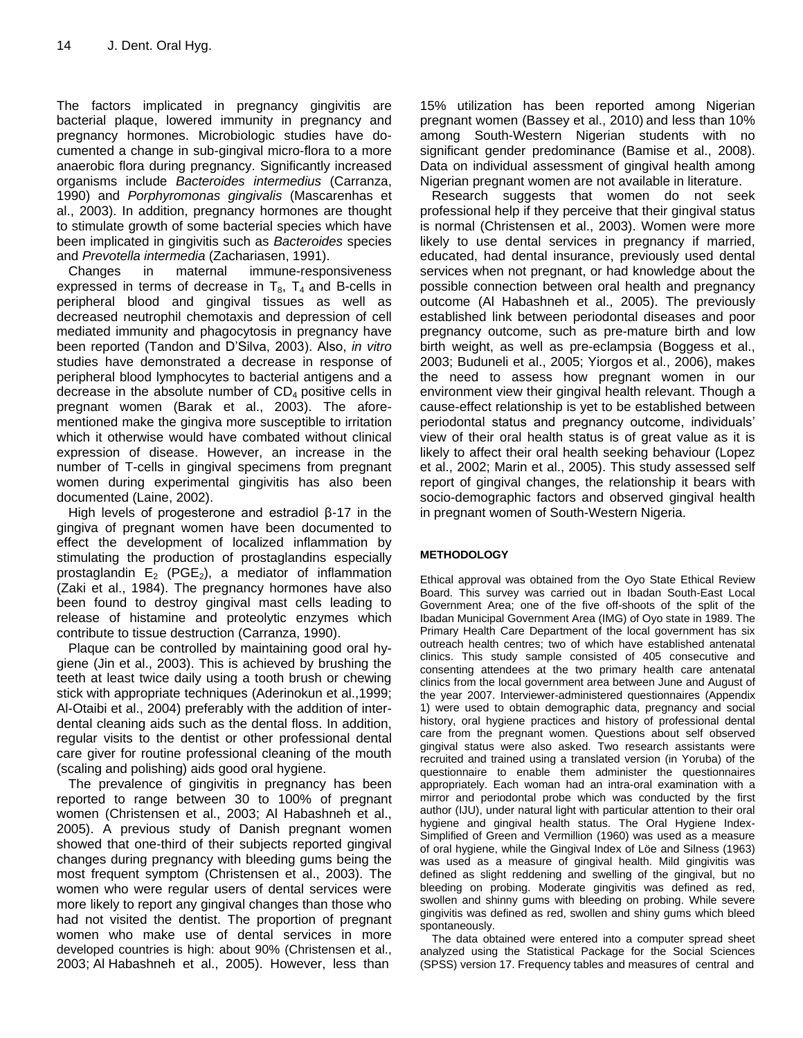The factors implicated in pregnancy gingivitis are bacterial plaque, lowered immunity in pregnancy and pregnancy hormones. Microbiologic studies have documented a change in sub-gingival micro-flora to a more anaerobic flora during pregnancy. Significantly increased organisms include *Bacteroides intermedius* (Carranza, 1990) and *Porphyromonas gingivalis* (Mascarenhas et al., 2003). In addition, pregnancy hormones are thought to stimulate growth of some bacterial species which have been implicated in gingivitis such as *Bacteroides* species and *Prevotella intermedia* (Zachariasen, 1991).

Changes in maternal immune-responsiveness expressed in terms of decrease in  $T_8$ ,  $T_4$  and B-cells in peripheral blood and gingival tissues as well as decreased neutrophil chemotaxis and depression of cell mediated immunity and phagocytosis in pregnancy have been reported (Tandon and D'Silva, 2003). Also, *in vitro* studies have demonstrated a decrease in response of peripheral blood lymphocytes to bacterial antigens and a decrease in the absolute number of  $CD<sub>4</sub>$  positive cells in pregnant women (Barak et al., 2003). The aforementioned make the gingiva more susceptible to irritation which it otherwise would have combated without clinical expression of disease. However, an increase in the number of T-cells in gingival specimens from pregnant women during experimental gingivitis has also been documented (Laine, 2002).

High levels of progesterone and estradiol β-17 in the gingiva of pregnant women have been documented to effect the development of localized inflammation by stimulating the production of prostaglandins especially prostaglandin  $E_2$  (PGE<sub>2</sub>), a mediator of inflammation (Zaki et al., 1984). The pregnancy hormones have also been found to destroy gingival mast cells leading to release of histamine and proteolytic enzymes which contribute to tissue destruction (Carranza, 1990).

Plaque can be controlled by maintaining good oral hygiene (Jin et al., 2003). This is achieved by brushing the teeth at least twice daily using a tooth brush or chewing stick with appropriate techniques (Aderinokun et al.,1999; Al-Otaibi et al., 2004) preferably with the addition of interdental cleaning aids such as the dental floss. In addition, regular visits to the dentist or other professional dental care giver for routine professional cleaning of the mouth (scaling and polishing) aids good oral hygiene.

The prevalence of gingivitis in pregnancy has been reported to range between 30 to 100% of pregnant women (Christensen et al., 2003; Al Habashneh et al., 2005). A previous study of Danish pregnant women showed that one-third of their subjects reported gingival changes during pregnancy with bleeding gums being the most frequent symptom (Christensen et al., 2003). The women who were regular users of dental services were more likely to report any gingival changes than those who had not visited the dentist. The proportion of pregnant women who make use of dental services in more developed countries is high: about 90% (Christensen et al., 2003; Al Habashneh et al., 2005). However, less than

15% utilization has been reported among Nigerian pregnant women (Bassey et al., 2010) and less than 10% among South-Western Nigerian students with no significant gender predominance (Bamise et al., 2008). Data on individual assessment of gingival health among Nigerian pregnant women are not available in literature.

Research suggests that women do not seek professional help if they perceive that their gingival status is normal (Christensen et al., 2003). Women were more likely to use dental services in pregnancy if married, educated, had dental insurance, previously used dental services when not pregnant, or had knowledge about the possible connection between oral health and pregnancy outcome (Al Habashneh et al., 2005). The previously established link between periodontal diseases and poor pregnancy outcome, such as pre-mature birth and low birth weight, as well as pre-eclampsia (Boggess et al., 2003; Buduneli et al., 2005; Yiorgos et al., 2006), makes the need to assess how pregnant women in our environment view their gingival health relevant. Though a cause-effect relationship is yet to be established between periodontal status and pregnancy outcome, individuals' view of their oral health status is of great value as it is likely to affect their oral health seeking behaviour (Lopez et al., 2002; Marin et al., 2005). This study assessed self report of gingival changes, the relationship it bears with socio-demographic factors and observed gingival health in pregnant women of South-Western Nigeria.

#### **METHODOLOGY**

Ethical approval was obtained from the Oyo State Ethical Review Board. This survey was carried out in Ibadan South-East Local Government Area; one of the five off-shoots of the split of the Ibadan Municipal Government Area (IMG) of Oyo state in 1989. The Primary Health Care Department of the local government has six outreach health centres; two of which have established antenatal clinics. This study sample consisted of 405 consecutive and consenting attendees at the two primary health care antenatal clinics from the local government area between June and August of the year 2007. Interviewer-administered questionnaires (Appendix 1) were used to obtain demographic data, pregnancy and social history, oral hygiene practices and history of professional dental care from the pregnant women. Questions about self observed gingival status were also asked. Two research assistants were recruited and trained using a translated version (in Yoruba) of the questionnaire to enable them administer the questionnaires appropriately. Each woman had an intra-oral examination with a mirror and periodontal probe which was conducted by the first author (IJU), under natural light with particular attention to their oral hygiene and gingival health status. The Oral Hygiene Index-Simplified of Green and Vermillion (1960) was used as a measure of oral hygiene, while the Gingival Index of Löe and Silness (1963) was used as a measure of gingival health. Mild gingivitis was defined as slight reddening and swelling of the gingival, but no bleeding on probing. Moderate gingivitis was defined as red, swollen and shinny gums with bleeding on probing. While severe gingivitis was defined as red, swollen and shiny gums which bleed spontaneously.

The data obtained were entered into a computer spread sheet analyzed using the Statistical Package for the Social Sciences (SPSS) version 17. Frequency tables and measures of central and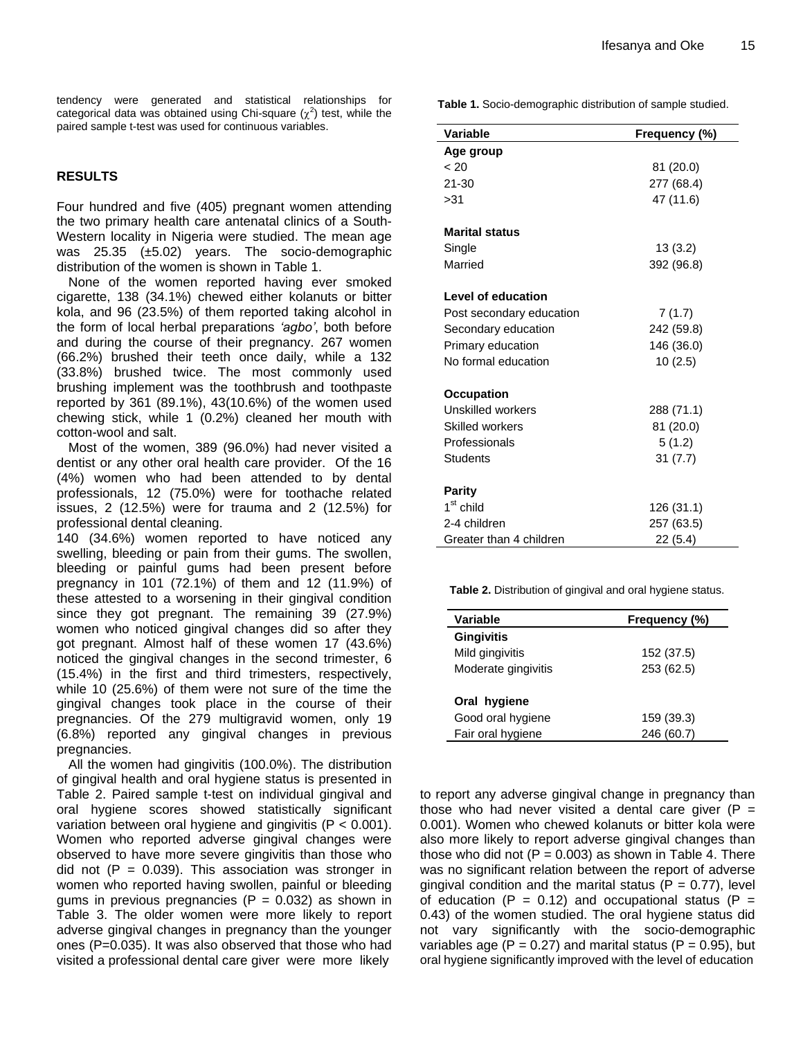tendency were generated and statistical relationships for categorical data was obtained using Chi-square  $(\chi^2)$  test, while the paired sample t-test was used for continuous variables.

## **RESULTS**

Four hundred and five (405) pregnant women attending the two primary health care antenatal clinics of a South-Western locality in Nigeria were studied. The mean age was 25.35 (±5.02) years. The socio-demographic distribution of the women is shown in Table 1.

None of the women reported having ever smoked cigarette, 138 (34.1%) chewed either kolanuts or bitter kola, and 96 (23.5%) of them reported taking alcohol in the form of local herbal preparations *'agbo'*, both before and during the course of their pregnancy. 267 women (66.2%) brushed their teeth once daily, while a 132 (33.8%) brushed twice. The most commonly used brushing implement was the toothbrush and toothpaste reported by 361 (89.1%), 43(10.6%) of the women used chewing stick, while 1 (0.2%) cleaned her mouth with cotton-wool and salt.

Most of the women, 389 (96.0%) had never visited a dentist or any other oral health care provider. Of the 16 (4%) women who had been attended to by dental professionals, 12 (75.0%) were for toothache related issues, 2 (12.5%) were for trauma and 2 (12.5%) for professional dental cleaning.

140 (34.6%) women reported to have noticed any swelling, bleeding or pain from their gums. The swollen, bleeding or painful gums had been present before pregnancy in 101 (72.1%) of them and 12 (11.9%) of these attested to a worsening in their gingival condition since they got pregnant. The remaining 39 (27.9%) women who noticed gingival changes did so after they got pregnant. Almost half of these women 17 (43.6%) noticed the gingival changes in the second trimester, 6 (15.4%) in the first and third trimesters, respectively, while 10 (25.6%) of them were not sure of the time the gingival changes took place in the course of their pregnancies. Of the 279 multigravid women, only 19 (6.8%) reported any gingival changes in previous pregnancies.

All the women had gingivitis (100.0%). The distribution of gingival health and oral hygiene status is presented in Table 2. Paired sample t-test on individual gingival and oral hygiene scores showed statistically significant variation between oral hygiene and gingivitis (P < 0.001). Women who reported adverse gingival changes were observed to have more severe gingivitis than those who did not  $(P = 0.039)$ . This association was stronger in women who reported having swollen, painful or bleeding gums in previous pregnancies ( $P = 0.032$ ) as shown in Table 3. The older women were more likely to report adverse gingival changes in pregnancy than the younger ones (P=0.035). It was also observed that those who had visited a professional dental care giver were more likely

**Table 1.** Socio-demographic distribution of sample studied.

| <b>Variable</b>          | Frequency (%) |  |  |
|--------------------------|---------------|--|--|
| Age group                |               |  |  |
| ~< 20                    | 81 (20.0)     |  |  |
| $21 - 30$                | 277 (68.4)    |  |  |
| >31                      | 47 (11.6)     |  |  |
|                          |               |  |  |
| <b>Marital status</b>    |               |  |  |
| Single                   | 13(3.2)       |  |  |
| Married                  | 392 (96.8)    |  |  |
|                          |               |  |  |
| Level of education       |               |  |  |
| Post secondary education | 7(1.7)        |  |  |
| Secondary education      | 242 (59.8)    |  |  |
| Primary education        | 146 (36.0)    |  |  |
| No formal education      | 10(2.5)       |  |  |
|                          |               |  |  |
| <b>Occupation</b>        |               |  |  |
| Unskilled workers        | 288 (71.1)    |  |  |
| <b>Skilled workers</b>   | 81 (20.0)     |  |  |
| Professionals            | 5(1.2)        |  |  |
| <b>Students</b>          | 31(7.7)       |  |  |
|                          |               |  |  |
| <b>Parity</b>            |               |  |  |
| $1st$ child              | 126 (31.1)    |  |  |
| 2-4 children             | 257 (63.5)    |  |  |
| Greater than 4 children  | 22 (5.4)      |  |  |

**Table 2.** Distribution of gingival and oral hygiene status.

| Variable            | Frequency (%) |
|---------------------|---------------|
| <b>Gingivitis</b>   |               |
| Mild gingivitis     | 152 (37.5)    |
| Moderate gingivitis | 253 (62.5)    |
| Oral hygiene        |               |
| Good oral hygiene   | 159 (39.3)    |
| Fair oral hygiene   | (60.7)<br>246 |

to report any adverse gingival change in pregnancy than those who had never visited a dental care giver ( $P =$ 0.001). Women who chewed kolanuts or bitter kola were also more likely to report adverse gingival changes than those who did not  $(P = 0.003)$  as shown in Table 4. There was no significant relation between the report of adverse gingival condition and the marital status ( $P = 0.77$ ), level of education (P = 0.12) and occupational status (P = 0.43) of the women studied. The oral hygiene status did not vary significantly with the socio-demographic variables age ( $P = 0.27$ ) and marital status ( $P = 0.95$ ), but oral hygiene significantly improved with the level of education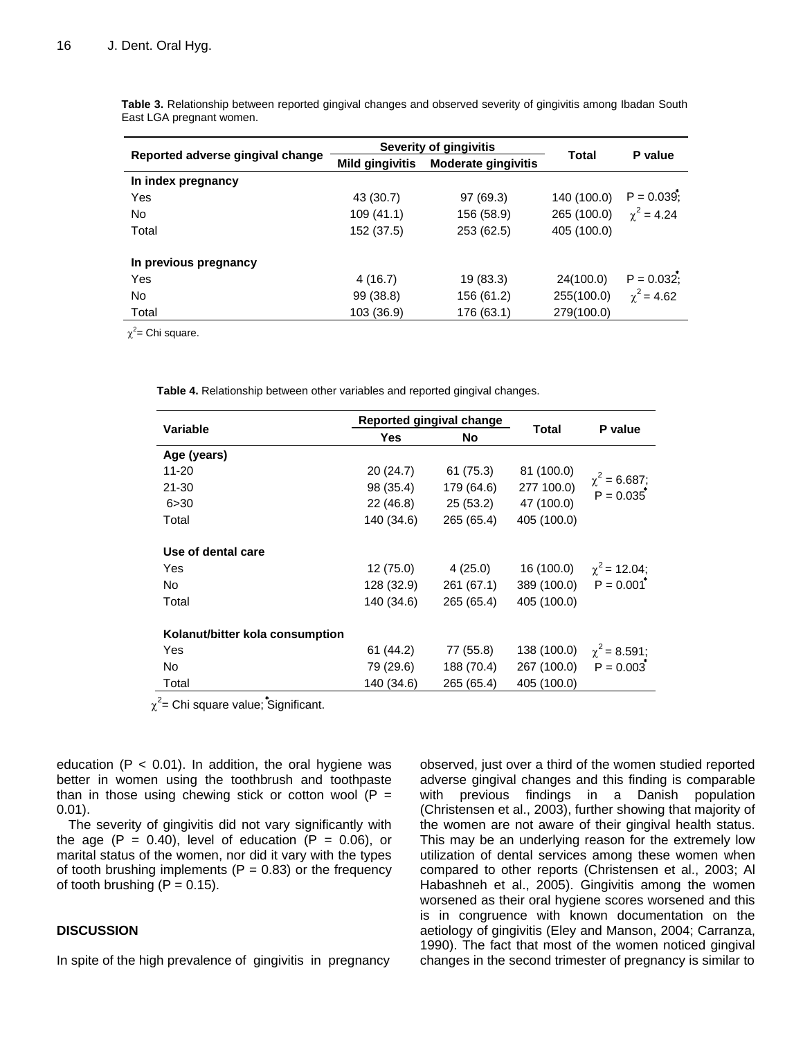**Table 3.** Relationship between reported gingival changes and observed severity of gingivitis among Ibadan South East LGA pregnant women.

|                                  | Severity of gingivitis |                            | <b>Total</b> |                   |
|----------------------------------|------------------------|----------------------------|--------------|-------------------|
| Reported adverse gingival change | <b>Mild gingivitis</b> | <b>Moderate gingivitis</b> |              | P value           |
| In index pregnancy               |                        |                            |              |                   |
| Yes                              | 43 (30.7)              | 97 (69.3)                  | 140 (100.0)  | $P = 0.039$ ;     |
| No                               | 109 (41.1)             | 156 (58.9)                 | 265 (100.0)  | $\gamma^2 = 4.24$ |
| Total                            | 152 (37.5)             | 253 (62.5)                 | 405 (100.0)  |                   |
| In previous pregnancy            |                        |                            |              |                   |
| Yes                              | 4 (16.7)               | 19 (83.3)                  | 24(100.0)    | $P = 0.032$ ;     |
| <b>No</b>                        | 99 (38.8)              | 156 (61.2)                 | 255(100.0)   | $\chi^2$ = 4.62   |
| Total                            | 103 (36.9)             | 176 (63.1)                 | 279(100.0)   |                   |

 $\chi^2$ = Chi square.

**Table 4.** Relationship between other variables and reported gingival changes.

| <b>Variable</b>                 |            | Reported gingival change | <b>Total</b>                     | P value                          |
|---------------------------------|------------|--------------------------|----------------------------------|----------------------------------|
|                                 | <b>Yes</b> | <b>No</b>                |                                  |                                  |
| Age (years)                     |            |                          |                                  |                                  |
| $11 - 20$                       | 20(24.7)   | 61 (75.3)                | 81 (100.0)                       |                                  |
| 21-30                           | 98 (35.4)  | 179 (64.6)               | 277 100.0)                       | $\chi^2$ = 6.687;<br>$P = 0.035$ |
| 6 > 30                          | 22 (46.8)  | 25 (53.2)                | 47 (100.0)                       |                                  |
| Total                           | 140 (34.6) | 265 (65.4)               | 405 (100.0)                      |                                  |
| Use of dental care              |            |                          |                                  |                                  |
| Yes                             | 12(75.0)   | 4 (25.0)                 | 16 (100.0)                       | $\chi^2$ = 12.04;                |
| No.                             | 128 (32.9) | 261 (67.1)               | 389 (100.0) $P = 0.001^*$        |                                  |
| Total                           | 140 (34.6) | 265 (65.4)               | 405 (100.0)                      |                                  |
| Kolanut/bitter kola consumption |            |                          |                                  |                                  |
| Yes                             | 61 (44.2)  | 77 (55.8)                | 138 (100.0) $\gamma^2 = 8.591$ ; |                                  |
| No.                             | 79 (29.6)  | 188 (70.4)               | 267 (100.0) $P = 0.003$          |                                  |
| Total                           | 140 (34.6) | 265 (65.4)               | 405 (100.0)                      |                                  |

 $\chi^2$ = Chi square value; Significant.

education ( $P < 0.01$ ). In addition, the oral hygiene was better in women using the toothbrush and toothpaste than in those using chewing stick or cotton wool  $(P =$ 0.01).

The severity of gingivitis did not vary significantly with the age  $(P = 0.40)$ , level of education  $(P = 0.06)$ , or marital status of the women, nor did it vary with the types of tooth brushing implements ( $P = 0.83$ ) or the frequency of tooth brushing  $(P = 0.15)$ .

#### **DISCUSSION**

In spite of the high prevalence of gingivitis in pregnancy

observed, just over a third of the women studied reported adverse gingival changes and this finding is comparable with previous findings in a Danish population (Christensen et al., 2003), further showing that majority of the women are not aware of their gingival health status. This may be an underlying reason for the extremely low utilization of dental services among these women when compared to other reports (Christensen et al., 2003; Al Habashneh et al., 2005). Gingivitis among the women worsened as their oral hygiene scores worsened and this is in congruence with known documentation on the aetiology of gingivitis (Eley and Manson, 2004; Carranza, 1990). The fact that most of the women noticed gingival changes in the second trimester of pregnancy is similar to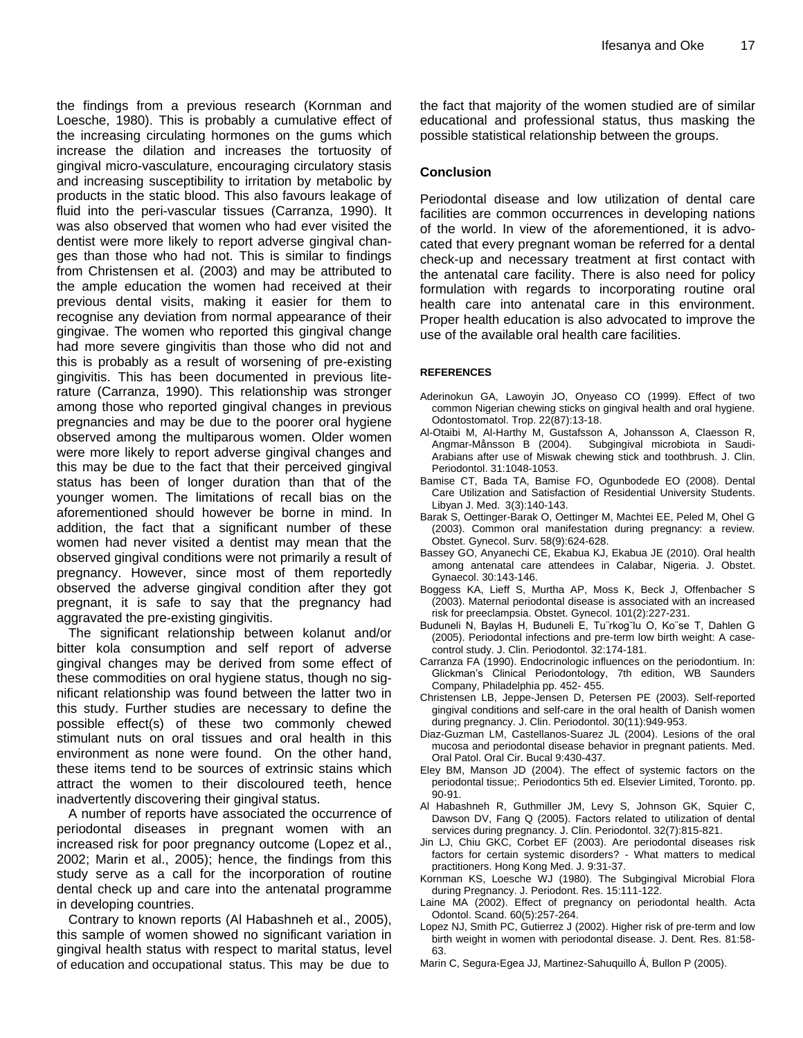the findings from a previous research (Kornman and Loesche, 1980). This is probably a cumulative effect of the increasing circulating hormones on the gums which increase the dilation and increases the tortuosity of gingival micro-vasculature, encouraging circulatory stasis and increasing susceptibility to irritation by metabolic by products in the static blood. This also favours leakage of fluid into the peri-vascular tissues (Carranza, 1990). It was also observed that women who had ever visited the dentist were more likely to report adverse gingival changes than those who had not. This is similar to findings from Christensen et al. (2003) and may be attributed to the ample education the women had received at their previous dental visits, making it easier for them to recognise any deviation from normal appearance of their gingivae. The women who reported this gingival change had more severe gingivitis than those who did not and this is probably as a result of worsening of pre-existing gingivitis. This has been documented in previous literature (Carranza, 1990). This relationship was stronger among those who reported gingival changes in previous pregnancies and may be due to the poorer oral hygiene observed among the multiparous women. Older women were more likely to report adverse gingival changes and this may be due to the fact that their perceived gingival status has been of longer duration than that of the younger women. The limitations of recall bias on the aforementioned should however be borne in mind. In addition, the fact that a significant number of these women had never visited a dentist may mean that the observed gingival conditions were not primarily a result of pregnancy. However, since most of them reportedly observed the adverse gingival condition after they got pregnant, it is safe to say that the pregnancy had aggravated the pre-existing gingivitis.

The significant relationship between kolanut and/or bitter kola consumption and self report of adverse gingival changes may be derived from some effect of these commodities on oral hygiene status, though no significant relationship was found between the latter two in this study. Further studies are necessary to define the possible effect(s) of these two commonly chewed stimulant nuts on oral tissues and oral health in this environment as none were found. On the other hand, these items tend to be sources of extrinsic stains which attract the women to their discoloured teeth, hence inadvertently discovering their gingival status.

A number of reports have associated the occurrence of periodontal diseases in pregnant women with an increased risk for poor pregnancy outcome (Lopez et al., 2002; Marin et al., 2005); hence, the findings from this study serve as a call for the incorporation of routine dental check up and care into the antenatal programme in developing countries.

Contrary to known reports (Al Habashneh et al., 2005), this sample of women showed no significant variation in gingival health status with respect to marital status, level of education and occupational status. This may be due to

the fact that majority of the women studied are of similar educational and professional status, thus masking the possible statistical relationship between the groups.

#### **Conclusion**

Periodontal disease and low utilization of dental care facilities are common occurrences in developing nations of the world. In view of the aforementioned, it is advocated that every pregnant woman be referred for a dental check-up and necessary treatment at first contact with the antenatal care facility. There is also need for policy formulation with regards to incorporating routine oral health care into antenatal care in this environment. Proper health education is also advocated to improve the use of the available oral health care facilities.

#### **REFERENCES**

- Aderinokun GA, Lawoyin JO, Onyeaso CO (1999). Effect of two common Nigerian chewing sticks on gingival health and oral hygiene. Odontostomatol. Trop. 22(87):13-18.
- Al-Otaibi M, Al-Harthy M, Gustafsson A, Johansson A, Claesson R, Angmar-Månsson B (2004). Subgingival microbiota in Saudi-Arabians after use of Miswak chewing stick and toothbrush. J. Clin. Periodontol. 31:1048-1053.
- Bamise CT, Bada TA, Bamise FO, Ogunbodede EO (2008). Dental Care Utilization and Satisfaction of Residential University Students. Libyan J. Med. 3(3):140-143.
- Barak S, Oettinger-Barak O, Oettinger M, Machtei EE, Peled M, Ohel G (2003). Common oral manifestation during pregnancy: a review. Obstet. Gynecol. Surv. 58(9):624-628.
- [Bassey GO,](http://www.ncbi.nlm.nih.gov/pubmed?term=%22Bassey%20GO%22%5BAuthor%5D) [Anyanechi CE,](http://www.ncbi.nlm.nih.gov/pubmed?term=%22Anyanechi%20CE%22%5BAuthor%5D) [Ekabua KJ,](http://www.ncbi.nlm.nih.gov/pubmed?term=%22Ekabua%20KJ%22%5BAuthor%5D) [Ekabua JE](http://www.ncbi.nlm.nih.gov/pubmed?term=%22Ekabua%20JE%22%5BAuthor%5D) (2010). [Oral health](http://www.ncbi.nlm.nih.gov/pubmed/20143972)  [among antenatal care attendees in Calabar, Nigeria.](http://www.ncbi.nlm.nih.gov/pubmed/20143972) J. [Obstet.](http://www.ncbi.nlm.nih.gov/pubmed) [Gynaecol.](http://www.ncbi.nlm.nih.gov/pubmed) 30:143-146.
- Boggess KA, Lieff S, Murtha AP, Moss K, Beck J, Offenbacher S (2003). Maternal periodontal disease is associated with an increased risk for preeclampsia. Obstet. Gynecol. 101(2):227-231.
- Buduneli N, Baylas H, Buduneli E, Tu¨rkog˘lu O, Ko¨se T, Dahlen G (2005). Periodontal infections and pre-term low birth weight: A casecontrol study. J. Clin. Periodontol. 32:174-181.
- Carranza FA (1990). Endocrinologic influences on the periodontium. In: Glickman's Clinical Periodontology, 7th edition, WB Saunders Company, Philadelphia pp. 452- 455.
- Christensen LB, Jeppe-Jensen D, Petersen PE (2003). Self-reported gingival conditions and self-care in the oral health of Danish women during pregnancy. J. Clin. Periodontol. 30(11):949-953.
- Diaz-Guzman LM, Castellanos-Suarez JL (2004). Lesions of the oral mucosa and periodontal disease behavior in pregnant patients. Med. Oral Patol. Oral Cir. Bucal 9:430-437.
- Eley BM, Manson JD (2004). The effect of systemic factors on the periodontal tissue;. Periodontics 5th ed. Elsevier Limited, Toronto. pp. 90-91.
- Al Habashneh R, Guthmiller JM, Levy S, Johnson GK, Squier C, Dawson DV, Fang Q (2005). Factors related to utilization of dental services during pregnancy. J. Clin. Periodontol. 32(7):815-821.
- Jin LJ, Chiu GKC, Corbet EF (2003). Are periodontal diseases risk factors for certain systemic disorders? - What matters to medical practitioners. Hong Kong Med. J. 9:31-37.
- Kornman KS, Loesche WJ (1980). The Subgingival Microbial Flora during Pregnancy. J. Periodont. Res. 15:111-122.
- Laine MA (2002). Effect of pregnancy on periodontal health. Acta Odontol. Scand. 60(5):257-264.
- Lopez NJ, Smith PC, Gutierrez J (2002). Higher risk of pre-term and low birth weight in women with periodontal disease. J. Dent. Res. 81:58- 63.
- Marin C, Segura-Egea JJ, Martinez-Sahuquillo Á, Bullon P (2005).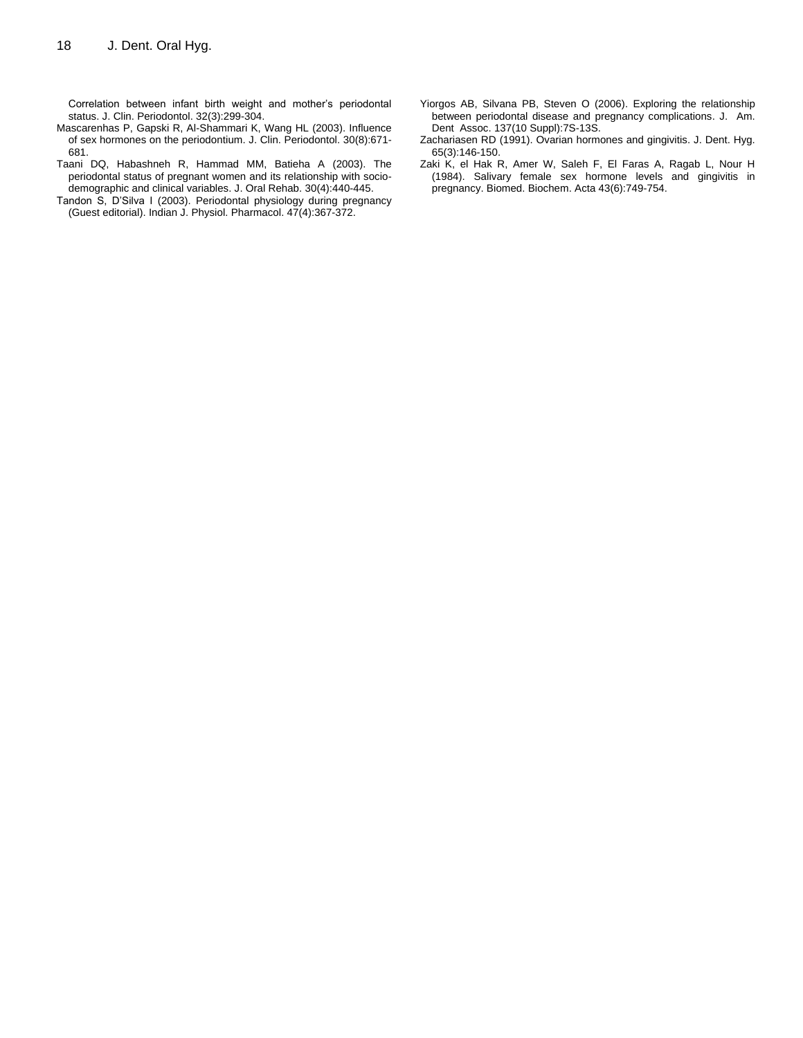Correlation between infant birth weight and mother's periodontal status. J. Clin. Periodontol. 32(3):299-304.

- Mascarenhas P, Gapski R, Al-Shammari K, Wang HL (2003). Influence of sex hormones on the periodontium. J. Clin. Periodontol. 30(8):671- 681.
- Taani DQ, Habashneh R, Hammad MM, Batieha A (2003). The periodontal status of pregnant women and its relationship with sociodemographic and clinical variables. J. Oral Rehab. 30(4):440-445.
- Tandon S, D'Silva I (2003). Periodontal physiology during pregnancy (Guest editorial). Indian J. Physiol. Pharmacol. 47(4):367-372.
- Yiorgos AB, Silvana PB, Steven O (2006). Exploring the relationship between periodontal disease and pregnancy complications. J. Am. Dent Assoc. 137(10 Suppl):7S-13S.
- Zachariasen RD (1991). Ovarian hormones and gingivitis. J. Dent. Hyg. 65(3):146-150.
- Zaki K, el Hak R, Amer W, Saleh F, El Faras A, Ragab L, Nour H (1984). Salivary female sex hormone levels and gingivitis in pregnancy. Biomed. Biochem. Acta 43(6):749-754.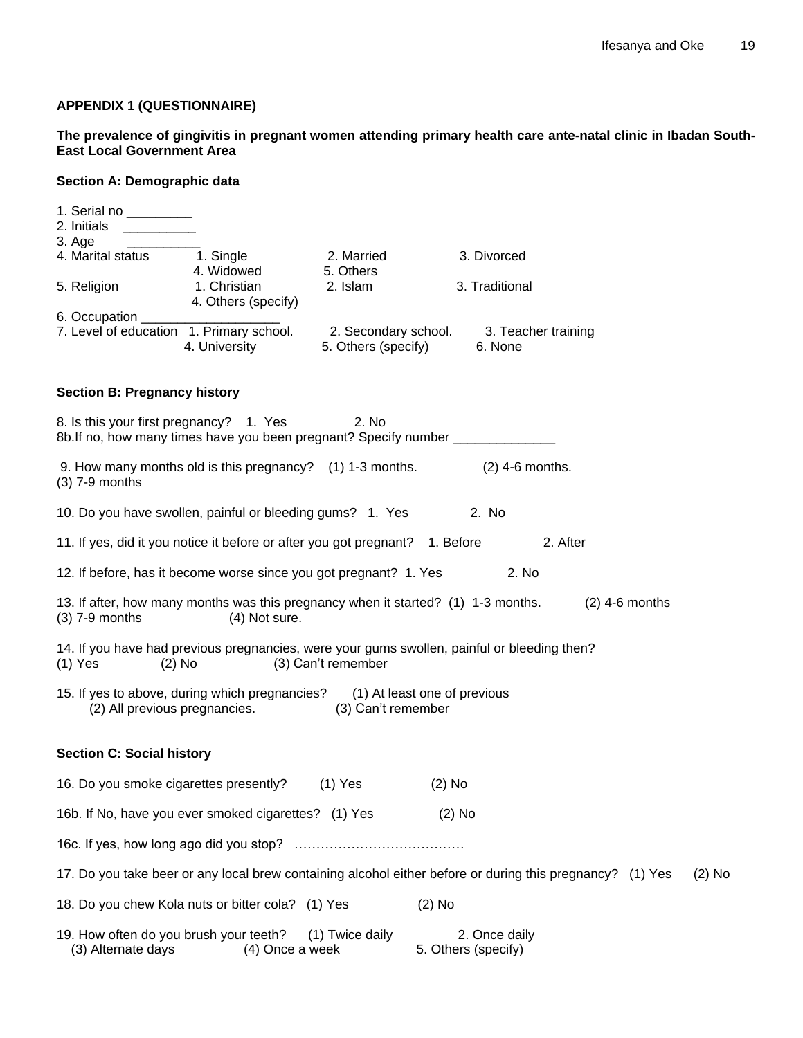# **APPENDIX 1 (QUESTIONNAIRE)**

**The prevalence of gingivitis in pregnant women attending primary health care ante-natal clinic in Ibadan South-East Local Government Area**

# **Section A: Demographic data**

| 1. Serial no _________<br>2. Initials                        |                                                                                                              |                         |                                                                                                           |                  |          |
|--------------------------------------------------------------|--------------------------------------------------------------------------------------------------------------|-------------------------|-----------------------------------------------------------------------------------------------------------|------------------|----------|
| 3. Age                                                       |                                                                                                              |                         |                                                                                                           |                  |          |
| 4. Marital status 1. Single                                  | 4. Widowed                                                                                                   | 2. Married<br>5. Others | 3. Divorced                                                                                               |                  |          |
| 5. Religion                                                  | 1. Christian<br>4. Others (specify)                                                                          | 2. Islam                | 3. Traditional                                                                                            |                  |          |
| 6. Occupation _____                                          |                                                                                                              |                         |                                                                                                           |                  |          |
|                                                              | 4. University                                                                                                | 5. Others (specify)     | 7. Level of education 1. Primary school. 2. Secondary school. 3. Teacher training<br>6. None              |                  |          |
| <b>Section B: Pregnancy history</b>                          |                                                                                                              |                         |                                                                                                           |                  |          |
| 8. Is this your first pregnancy? 1. Yes                      |                                                                                                              | 2. No                   | 8b. If no, how many times have you been pregnant? Specify number _______________                          |                  |          |
| $(3)$ 7-9 months                                             | 9. How many months old is this pregnancy? (1) 1-3 months.                                                    |                         | $(2)$ 4-6 months.                                                                                         |                  |          |
|                                                              | 10. Do you have swollen, painful or bleeding gums? 1. Yes                                                    |                         | 2. No                                                                                                     |                  |          |
|                                                              | 11. If yes, did it you notice it before or after you got pregnant? 1. Before                                 |                         | 2. After                                                                                                  |                  |          |
|                                                              | 12. If before, has it become worse since you got pregnant? 1. Yes                                            |                         | 2. No                                                                                                     |                  |          |
| $(3)$ 7-9 months                                             | (4) Not sure.                                                                                                |                         | 13. If after, how many months was this pregnancy when it started? (1) 1-3 months.                         | $(2)$ 4-6 months |          |
| $(2)$ No<br>$(1)$ Yes                                        |                                                                                                              | (3) Can't remember      | 14. If you have had previous pregnancies, were your gums swollen, painful or bleeding then?               |                  |          |
|                                                              | 15. If yes to above, during which pregnancies? (1) At least one of previous<br>(2) All previous pregnancies. | (3) Can't remember      |                                                                                                           |                  |          |
| <b>Section C: Social history</b>                             |                                                                                                              |                         |                                                                                                           |                  |          |
| 16. Do you smoke cigarettes presently?                       |                                                                                                              | $(1)$ Yes               | $(2)$ No                                                                                                  |                  |          |
|                                                              | 16b. If No, have you ever smoked cigarettes? (1) Yes                                                         |                         | $(2)$ No                                                                                                  |                  |          |
|                                                              |                                                                                                              |                         |                                                                                                           |                  |          |
|                                                              |                                                                                                              |                         | 17. Do you take beer or any local brew containing alcohol either before or during this pregnancy? (1) Yes |                  | $(2)$ No |
|                                                              | 18. Do you chew Kola nuts or bitter cola? (1) Yes                                                            |                         | $(2)$ No                                                                                                  |                  |          |
| 19. How often do you brush your teeth?<br>(3) Alternate days | (4) Once a week                                                                                              | (1) Twice daily         | 2. Once daily<br>5. Others (specify)                                                                      |                  |          |